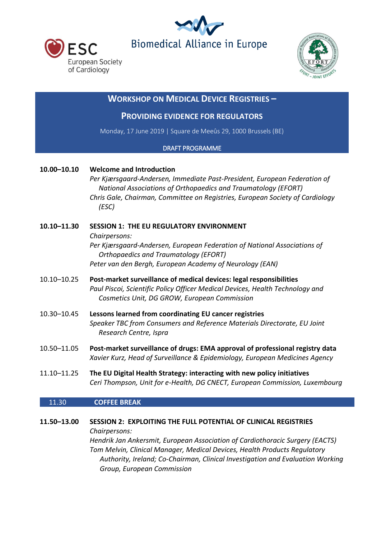





# **WORKSHOP ON MEDICAL DEVICE REGISTRIES –**

## **PROVIDING EVIDENCE FOR REGULATORS**

Monday, 17 June 2019 | Square de Meeûs 29, 1000 Brussels (BE)

### DRAFT PROGRAMME

### **10.00–10.10 Welcome and Introduction**

*Per Kjærsgaard-Andersen, Immediate Past-President, European Federation of National Associations of Orthopaedics and Traumatology (EFORT) Chris Gale, Chairman, Committee on Registries, European Society of Cardiology (ESC)*

## **10.10–11.30 SESSION 1: THE EU REGULATORY ENVIRONMENT** *Chairpersons: Per Kjærsgaard-Andersen, European Federation of National Associations of Orthopaedics and Traumatology (EFORT) Peter van den Bergh, European Academy of Neurology (EAN)*

- 10.10–10.25 **Post-market surveillance of medical devices: legal responsibilities** *Paul Piscoi, Scientific Policy Officer Medical Devices, Health Technology and Cosmetics Unit, DG GROW, European Commission*
- 10.30–10.45 **Lessons learned from coordinating EU cancer registries** *Speaker TBC from Consumers and Reference Materials Directorate, EU Joint Research Centre, Ispra*
- 10.50–11.05 **Post-market surveillance of drugs: EMA approval of professional registry data** *Xavier Kurz, Head of Surveillance & Epidemiology, European Medicines Agency*
- 11.10–11.25 **The EU Digital Health Strategy: interacting with new policy initiatives** *Ceri Thompson, Unit for e-Health, DG CNECT, European Commission, Luxembourg*

### 11.30 **COFFEE BREAK**

### **11.50–13.00 SESSION 2: EXPLOITING THE FULL POTENTIAL OF CLINICAL REGISTRIES**

*Chairpersons:*

*Hendrik Jan Ankersmit, European Association of Cardiothoracic Surgery (EACTS) Tom Melvin, Clinical Manager, Medical Devices, Health Products Regulatory Authority, Ireland; Co-Chairman, Clinical Investigation and Evaluation Working Group, European Commission*